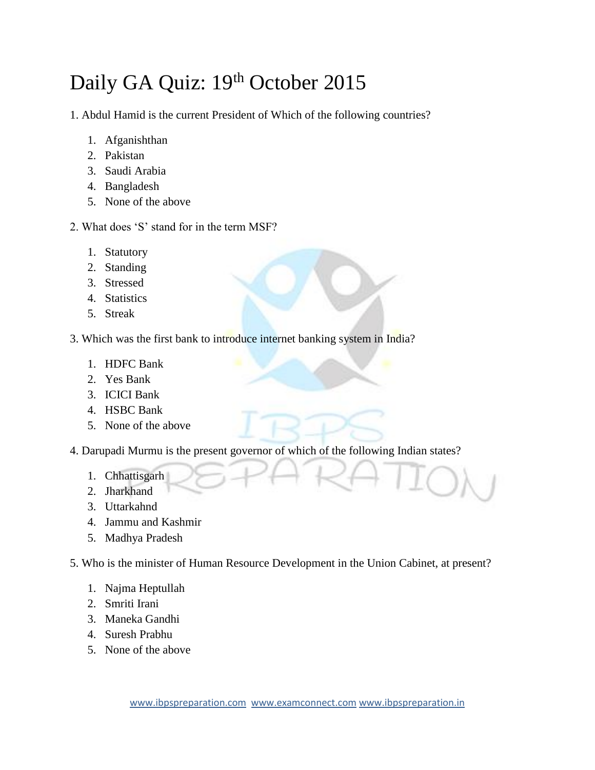## Daily GA Quiz: 19th October 2015

1. Abdul Hamid is the current President of Which of the following countries?

- 1. Afganishthan
- 2. Pakistan
- 3. Saudi Arabia
- 4. Bangladesh
- 5. None of the above
- 2. What does 'S' stand for in the term MSF?
	- 1. Statutory
	- 2. Standing
	- 3. Stressed
	- 4. Statistics
	- 5. Streak
- 3. Which was the first bank to introduce internet banking system in India?
	- 1. HDFC Bank
	- 2. Yes Bank
	- 3. ICICI Bank
	- 4. HSBC Bank
	- 5. None of the above
- 4. Darupadi Murmu is the present governor of which of the following Indian states?
	- 1. Chhattisgarh
	- 2. Jharkhand
	- 3. Uttarkahnd
	- 4. Jammu and Kashmir
	- 5. Madhya Pradesh
- 5. Who is the minister of Human Resource Development in the Union Cabinet, at present?
	- 1. Najma Heptullah
	- 2. Smriti Irani
	- 3. Maneka Gandhi
	- 4. Suresh Prabhu
	- 5. None of the above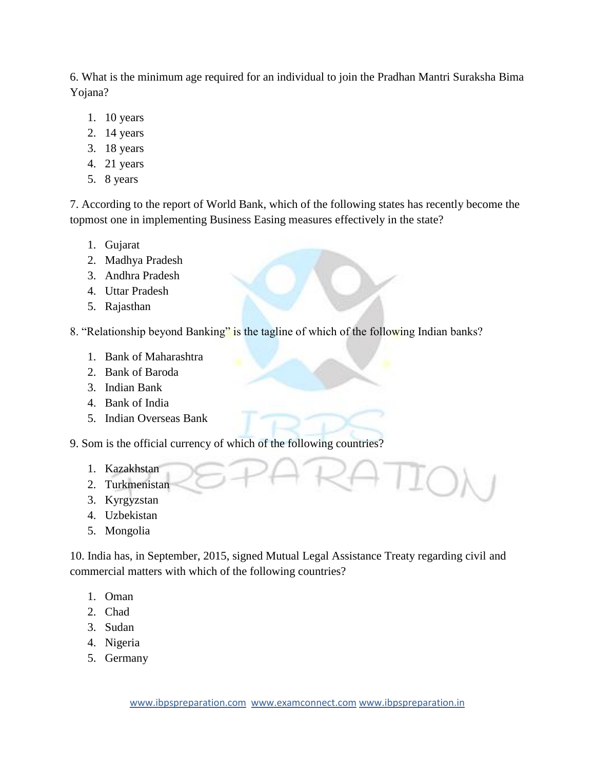6. What is the minimum age required for an individual to join the Pradhan Mantri Suraksha Bima Yojana?

- 1. 10 years
- 2. 14 years
- 3. 18 years
- 4. 21 years
- 5. 8 years

7. According to the report of World Bank, which of the following states has recently become the topmost one in implementing Business Easing measures effectively in the state?

- 1. Gujarat
- 2. Madhya Pradesh
- 3. Andhra Pradesh
- 4. Uttar Pradesh
- 5. Rajasthan

8. "Relationship beyond Banking" is the tagline of which of the following Indian banks?

- 1. Bank of Maharashtra
- 2. Bank of Baroda
- 3. Indian Bank
- 4. Bank of India
- 5. Indian Overseas Bank
- 9. Som is the official currency of which of the following countries?
	- 1. Kazakhstan
	- 2. Turkmenistan
	- 3. Kyrgyzstan
	- 4. Uzbekistan
	- 5. Mongolia

10. India has, in September, 2015, signed Mutual Legal Assistance Treaty regarding civil and commercial matters with which of the following countries?

- 1. Oman
- 2. Chad
- 3. Sudan
- 4. Nigeria
- 5. Germany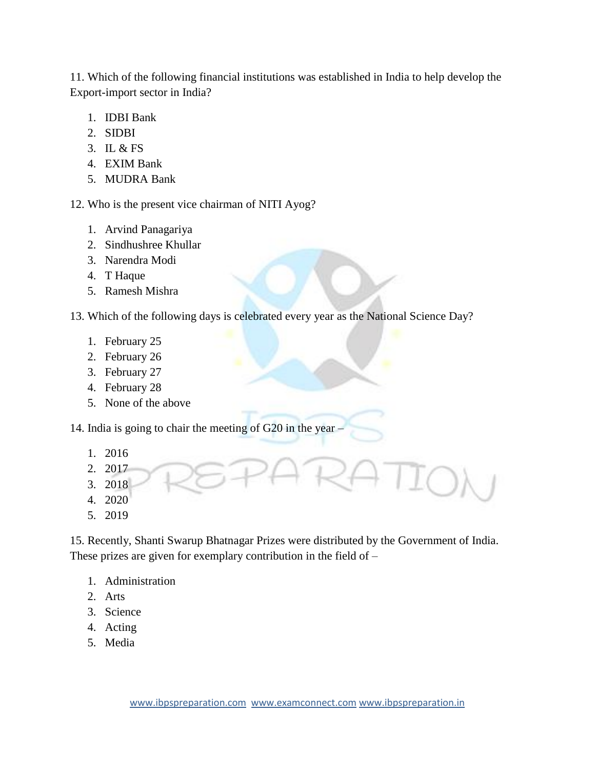11. Which of the following financial institutions was established in India to help develop the Export-import sector in India?

- 1. IDBI Bank
- 2. SIDBI
- 3. IL & FS
- 4. EXIM Bank
- 5. MUDRA Bank

12. Who is the present vice chairman of NITI Ayog?

- 1. Arvind Panagariya
- 2. Sindhushree Khullar
- 3. Narendra Modi
- 4. T Haque
- 5. Ramesh Mishra
- 13. Which of the following days is celebrated every year as the National Science Day?
	- 1. February 25
	- 2. February 26
	- 3. February 27
	- 4. February 28
	- 5. None of the above

14. India is going to chair the meeting of G20 in the year –

- 1. 2016
- 2. 2017
- 3. 2018
- 4. 2020
- 5. 2019

15. Recently, Shanti Swarup Bhatnagar Prizes were distributed by the Government of India. These prizes are given for exemplary contribution in the field of –

- 1. Administration
- 2. Arts
- 3. Science
- 4. Acting
- 5. Media